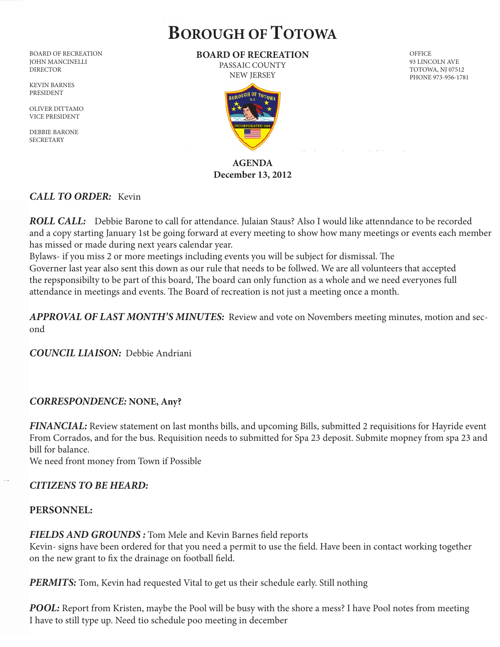# **BOROUGH OF TOTOWA**

BOARD OF RECREATION JOHN MANCINELLI DIRECTOR

KEVIN BARNES PRESIDENT

OLIVER DITTAMO VICE PRESIDENT

DEBBIE BARONE **SECRETARY** 

**BOARD OF RECREATION** PASSAIC COUNTY

NEW JERSEY



#### **AGENDA December 13, 2012**

#### *CALL TO ORDER:* Kevin

*ROLL CALL:*Debbie Barone to call for attendance. Julaian Staus? Also I would like attenndance to be recorded and a copy starting January 1st be going forward at every meeting to show how many meetings or events each member has missed or made during next years calendar year.

Bylaws- if you miss 2 or more meetings including events you will be subject for dismissal. The Governer last year also sent this down as our rule that needs to be follwed. We are all volunteers that accepted the repsponsibilty to be part of this board, The board can only function as a whole and we need everyones full attendance in meetings and events. The Board of recreation is not just a meeting once a month.

*APPROVAL OF LAST MONTH'S MINUTES:* Review and vote on Novembers meeting minutes, motion and second

*COUNCIL LIAISON:* Debbie Andriani

# *CORRESPONDENCE:* **NONE, Any?**

*FINANCIAL:* Review statement on last months bills, and upcoming Bills, submitted 2 requisitions for Hayride event From Corrados, and for the bus. Requisition needs to submitted for Spa 23 deposit. Submite mopney from spa 23 and bill for balance.

We need front money from Town if Possible

# *CITIZENS TO BE HEARD:*

# **PERSONNEL:**

**FIELDS AND GROUNDS :** Tom Mele and Kevin Barnes field reports Kevin- signs have been ordered for that you need a permit to use the field. Have been in contact working together on the new grant to fix the drainage on football field.

**PERMITS:** Tom, Kevin had requested Vital to get us their schedule early. Still nothing

*POOL:* Report from Kristen, maybe the Pool will be busy with the shore a mess? I have Pool notes from meeting I have to still type up. Need tio schedule poo meeting in december

**OFFICE** 93 LINCOLN AVE TOTOWA, NJ 07512 PHONE 973-956-1781